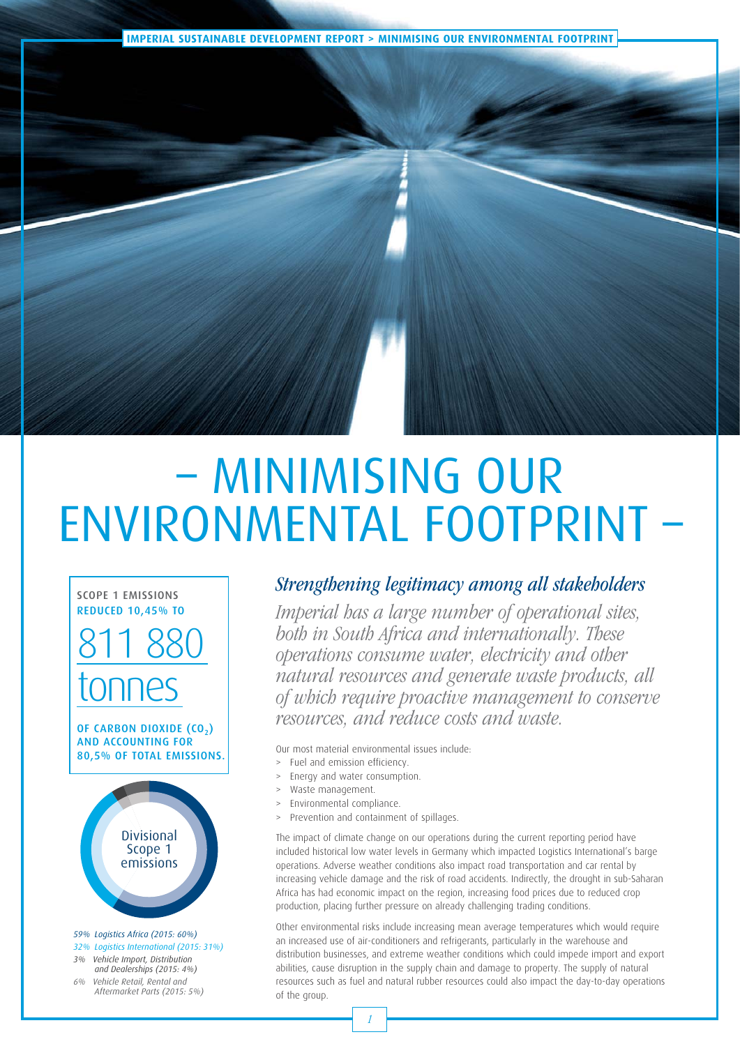**IMPERIAL SUSTAINABLE DEVELOPMENT REPORT > MINIMISING OUR ENVIRONMENTAL FOOTPRINT**

## – MINIMISING OUR ENVIRONMENTAL FOOTPRINT

SCOPE 1 EMISSIONS REDUCED 10,45% TO

## 811 880 tonnes

OF CARBON DIOXIDE (CO<sub>2</sub>) AND ACCOUNTING FOR 80,5% OF TOTAL EMISSIONS.



*59% Logistics Africa (2015: 60%) 32% Logistics International (2015: 31%)* 

- *3% Vehicle Import, Distribution and Dealerships (2015: 4%)*
- *6% Vehicle Retail, Rental and Aftermarket Parts (2015: 5%)*

### Strengthening legitimacy among all stakeholders

Imperial has a large number of operational sites, both in South Africa and internationally. These operations consume water, electricity and other natural resources and generate waste products, all of which require proactive management to conserve resources, and reduce costs and waste.

Our most material environmental issues include:

- Fuel and emission efficiency.
- Energy and water consumption.
- > Waste management.
- > Environmental compliance.
- Prevention and containment of spillages.

The impact of climate change on our operations during the current reporting period have included historical low water levels in Germany which impacted Logistics International's barge operations. Adverse weather conditions also impact road transportation and car rental by increasing vehicle damage and the risk of road accidents. Indirectly, the drought in sub-Saharan Africa has had economic impact on the region, increasing food prices due to reduced crop production, placing further pressure on already challenging trading conditions.

Other environmental risks include increasing mean average temperatures which would require an increased use of air-conditioners and refrigerants, particularly in the warehouse and distribution businesses, and extreme weather conditions which could impede import and export abilities, cause disruption in the supply chain and damage to property. The supply of natural resources such as fuel and natural rubber resources could also impact the day-to-day operations of the group.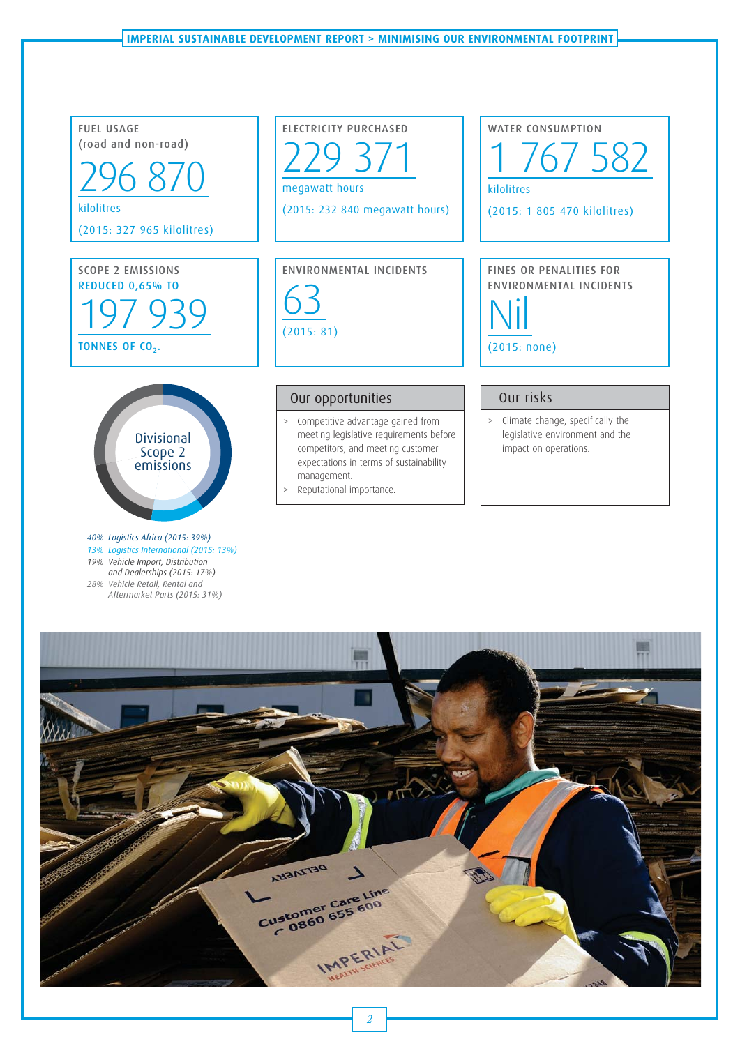

- *13% Logistics International (2015: 13%) 19% Vehicle Import, Distribution and Dealerships (2015: 17%) 28% Vehicle Retail, Rental and*
- *Aftermarket Parts (2015: 31%)*

# ANSIATISQ Customer Care Line **IMPERIAL**